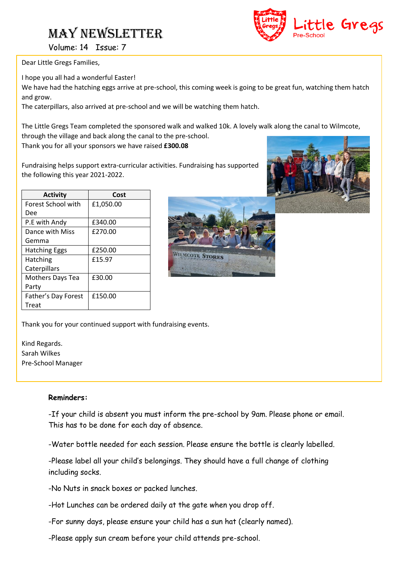# MAY NEWSLETTER



Volume: 14 Issue: 7

Dear Little Gregs Families,

I hope you all had a wonderful Easter!

We have had the hatching eggs arrive at pre-school, this coming week is going to be great fun, watching them hatch and grow.

The caterpillars, also arrived at pre-school and we will be watching them hatch.

The Little Gregs Team completed the sponsored walk and walked 10k. A lovely walk along the canal to Wilmcote, through the village and back along the canal to the pre-school.

Thank you for all your sponsors we have raised **£300.08**

Fundraising helps support extra-curricular activities. Fundraising has supported the following this year 2021-2022.

| <b>Forest School with</b><br>£1,050.00<br>Dee<br>£340.00<br>P.E with Andy<br>Dance with Miss<br>£270.00<br>Gemma<br>£250.00<br><b>Hatching Eggs</b> | <b>Activity</b> | Cost |
|-----------------------------------------------------------------------------------------------------------------------------------------------------|-----------------|------|
|                                                                                                                                                     |                 |      |
|                                                                                                                                                     |                 |      |
|                                                                                                                                                     |                 |      |
|                                                                                                                                                     |                 |      |
|                                                                                                                                                     |                 |      |
|                                                                                                                                                     |                 |      |
| £15.97<br>Hatching                                                                                                                                  |                 |      |
| Caterpillars                                                                                                                                        |                 |      |
| £30.00<br><b>Mothers Days Tea</b>                                                                                                                   |                 |      |
| Party                                                                                                                                               |                 |      |
| Father's Day Forest<br>£150.00                                                                                                                      |                 |      |
| Treat                                                                                                                                               |                 |      |



Thank you for your continued support with fundraising events.

Kind Regards. Sarah Wilkes Pre-School Manager

### **Reminders:**

-If your child is absent you must inform the pre-school by 9am. Please phone or email. This has to be done for each day of absence.

-Water bottle needed for each session. Please ensure the bottle is clearly labelled.

-Please label all your child's belongings. They should have a full change of clothing including socks.

-No Nuts in snack boxes or packed lunches.

-Hot Lunches can be ordered daily at the gate when you drop off.

-For sunny days, please ensure your child has a sun hat (clearly named).

-Please apply sun cream before your child attends pre-school.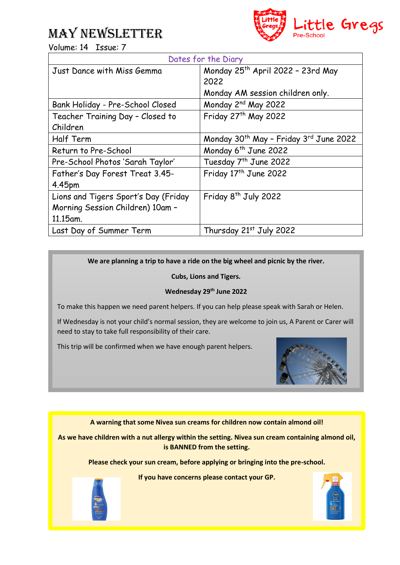## MAY NEWSLETTER



Volume: 14 Issue: 7

| Dates for the Diary                  |                                                                |  |  |
|--------------------------------------|----------------------------------------------------------------|--|--|
| Just Dance with Miss Gemma           | Monday 25th April 2022 - 23rd May                              |  |  |
|                                      | 2022                                                           |  |  |
|                                      | Monday AM session children only.                               |  |  |
| Bank Holiday - Pre-School Closed     | Monday 2 <sup>nd</sup> May 2022                                |  |  |
| Teacher Training Day - Closed to     | Friday 27th May 2022                                           |  |  |
| Children                             |                                                                |  |  |
| Half Term                            | Monday 30 <sup>th</sup> May - Friday 3 <sup>rd</sup> June 2022 |  |  |
| Return to Pre-School                 | Monday 6 <sup>th</sup> June 2022                               |  |  |
| Pre-School Photos 'Sarah Taylor'     | Tuesday 7 <sup>th</sup> June 2022                              |  |  |
| Father's Day Forest Treat 3.45-      | Friday 17 <sup>th</sup> June 2022                              |  |  |
| 4.45pm                               |                                                                |  |  |
| Lions and Tigers Sport's Day (Friday | Friday 8 <sup>th</sup> July 2022                               |  |  |
| Morning Session Children) 10am -     |                                                                |  |  |
| 11.15am.                             |                                                                |  |  |
| Last Day of Summer Term              | Thursday 21st July 2022                                        |  |  |

**We are planning a trip to have a ride on the big wheel and picnic by the river.**

**Cubs, Lions and Tigers.** 

### **Wednesday 29th June 2022**

To make this happen we need parent helpers. If you can help please speak with Sarah or Helen.

If Wednesday is not your child's normal session, they are welcome to join us, A Parent or Carer will need to stay to take full responsibility of their care.

This trip will be confirmed when we have enough parent helpers.



**A warning that some Nivea sun creams for children now contain almond oil!**

**As we have children with a nut allergy within the setting. Nivea sun cream containing almond oil, is BANNED from the setting.** 

**Please check your sun cream, before applying or bringing into the pre-school.** 

**If you have concerns please contact your GP.**